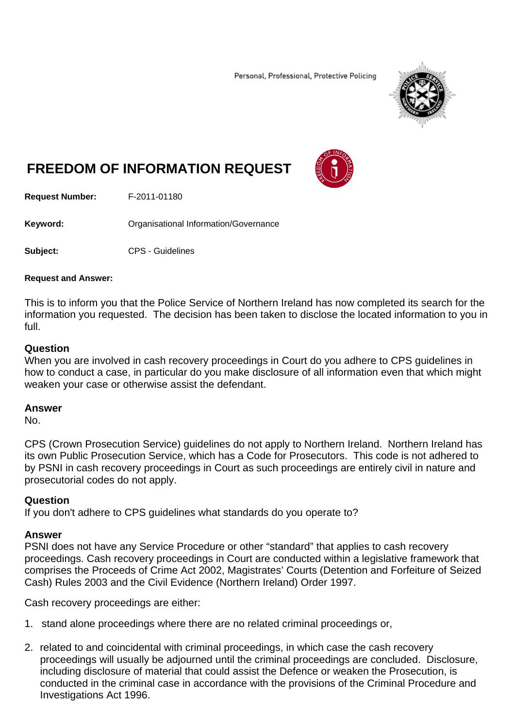Personal, Professional, Protective Policing



# **FREEDOM OF INFORMATION REQUEST**



**Request Number:** F-2011-01180

**Keyword: Cranisational Information/Governance** 

**Subject:** CPS - Guidelines

### **Request and Answer:**

This is to inform you that the Police Service of Northern Ireland has now completed its search for the information you requested. The decision has been taken to disclose the located information to you in full.

## **Question**

When you are involved in cash recovery proceedings in Court do you adhere to CPS guidelines in how to conduct a case, in particular do you make disclosure of all information even that which might weaken your case or otherwise assist the defendant.

### **Answer**

No.

CPS (Crown Prosecution Service) guidelines do not apply to Northern Ireland. Northern Ireland has its own Public Prosecution Service, which has a Code for Prosecutors. This code is not adhered to by PSNI in cash recovery proceedings in Court as such proceedings are entirely civil in nature and prosecutorial codes do not apply.

### **Question**

If you don't adhere to CPS guidelines what standards do you operate to?

### **Answer**

PSNI does not have any Service Procedure or other "standard" that applies to cash recovery proceedings. Cash recovery proceedings in Court are conducted within a legislative framework that comprises the Proceeds of Crime Act 2002, Magistrates' Courts (Detention and Forfeiture of Seized Cash) Rules 2003 and the Civil Evidence (Northern Ireland) Order 1997.

Cash recovery proceedings are either:

- 1. stand alone proceedings where there are no related criminal proceedings or,
- 2. related to and coincidental with criminal proceedings, in which case the cash recovery proceedings will usually be adjourned until the criminal proceedings are concluded. Disclosure, including disclosure of material that could assist the Defence or weaken the Prosecution, is conducted in the criminal case in accordance with the provisions of the Criminal Procedure and Investigations Act 1996.